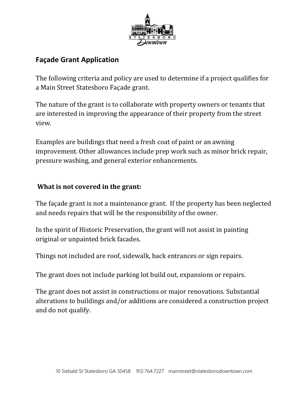

## **Façade Grant Application**

The following criteria and policy are used to determine if a project qualifies for a Main Street Statesboro Façade grant.

The nature of the grant is to collaborate with property owners or tenants that are interested in improving the appearance of their property from the street view.

Examples are buildings that need a fresh coat of paint or an awning improvement. Other allowances include prep work such as minor brick repair, pressure washing, and general exterior enhancements.

## **What is not covered in the grant:**

The façade grant is not a maintenance grant. If the property has been neglected and needs repairs that will be the responsibility of the owner.

In the spirit of Historic Preservation, the grant will not assist in painting original or unpainted brick facades.

Things not included are roof, sidewalk, back entrances or sign repairs.

The grant does not include parking lot build out, expansions or repairs.

The grant does not assist in constructions or major renovations. Substantial alterations to buildings and/or additions are considered a construction project and do not qualify.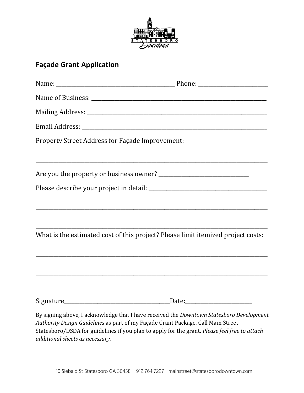

## **Façade Grant Application**

| Property Street Address for Façade Improvement:                                                                                                                                                                                                                                                                  |  |
|------------------------------------------------------------------------------------------------------------------------------------------------------------------------------------------------------------------------------------------------------------------------------------------------------------------|--|
|                                                                                                                                                                                                                                                                                                                  |  |
|                                                                                                                                                                                                                                                                                                                  |  |
| What is the estimated cost of this project? Please limit itemized project costs:                                                                                                                                                                                                                                 |  |
|                                                                                                                                                                                                                                                                                                                  |  |
|                                                                                                                                                                                                                                                                                                                  |  |
| By signing above, I acknowledge that I have received the Downtown Statesboro Development<br>Authority Design Guidelines as part of my Façade Grant Package. Call Main Street<br>Statesboro/DSDA for guidelines if you plan to apply for the grant. Please feel free to attach<br>additional sheets as necessary. |  |